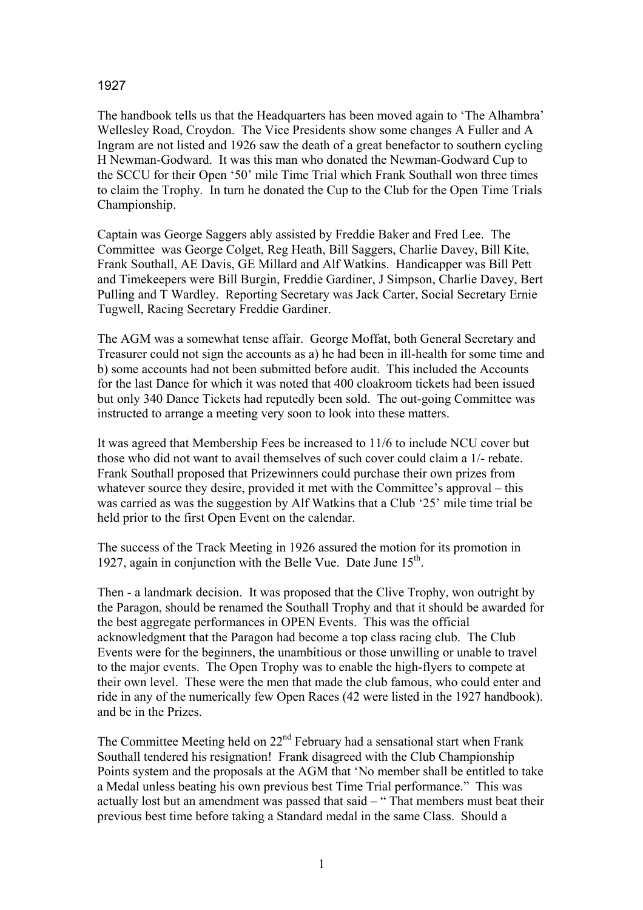## 1927

The handbook tells us that the Headquarters has been moved again to 'The Alhambra' Wellesley Road, Croydon. The Vice Presidents show some changes A Fuller and A Ingram are not listed and 1926 saw the death of a great benefactor to southern cycling H Newman-Godward. It was this man who donated the Newman-Godward Cup to the SCCU for their Open '50' mile Time Trial which Frank Southall won three times to claim the Trophy. In turn he donated the Cup to the Club for the Open Time Trials Championship.

Captain was George Saggers ably assisted by Freddie Baker and Fred Lee. The Committee was George Colget, Reg Heath, Bill Saggers, Charlie Davey, Bill Kite, Frank Southall, AE Davis, GE Millard and Alf Watkins. Handicapper was Bill Pett and Timekeepers were Bill Burgin, Freddie Gardiner, J Simpson, Charlie Davey, Bert Pulling and T Wardley. Reporting Secretary was Jack Carter, Social Secretary Ernie Tugwell, Racing Secretary Freddie Gardiner.

The AGM was a somewhat tense affair. George Moffat, both General Secretary and Treasurer could not sign the accounts as a) he had been in ill-health for some time and b) some accounts had not been submitted before audit. This included the Accounts for the last Dance for which it was noted that 400 cloakroom tickets had been issued but only 340 Dance Tickets had reputedly been sold. The out-going Committee was instructed to arrange a meeting very soon to look into these matters.

It was agreed that Membership Fees be increased to 11/6 to include NCU cover but those who did not want to avail themselves of such cover could claim a 1/- rebate. Frank Southall proposed that Prizewinners could purchase their own prizes from whatever source they desire, provided it met with the Committee's approval – this was carried as was the suggestion by Alf Watkins that a Club '25' mile time trial be held prior to the first Open Event on the calendar.

The success of the Track Meeting in 1926 assured the motion for its promotion in 1927, again in conjunction with the Belle Vue. Date June  $15<sup>th</sup>$ .

Then - a landmark decision. It was proposed that the Clive Trophy, won outright by the Paragon, should be renamed the Southall Trophy and that it should be awarded for the best aggregate performances in OPEN Events. This was the official acknowledgment that the Paragon had become a top class racing club. The Club Events were for the beginners, the unambitious or those unwilling or unable to travel to the major events. The Open Trophy was to enable the high-flyers to compete at their own level. These were the men that made the club famous, who could enter and ride in any of the numerically few Open Races (42 were listed in the 1927 handbook). and be in the Prizes.

The Committee Meeting held on 22<sup>nd</sup> February had a sensational start when Frank Southall tendered his resignation! Frank disagreed with the Club Championship Points system and the proposals at the AGM that 'No member shall be entitled to take a Medal unless beating his own previous best Time Trial performance." This was actually lost but an amendment was passed that said – " That members must beat their previous best time before taking a Standard medal in the same Class. Should a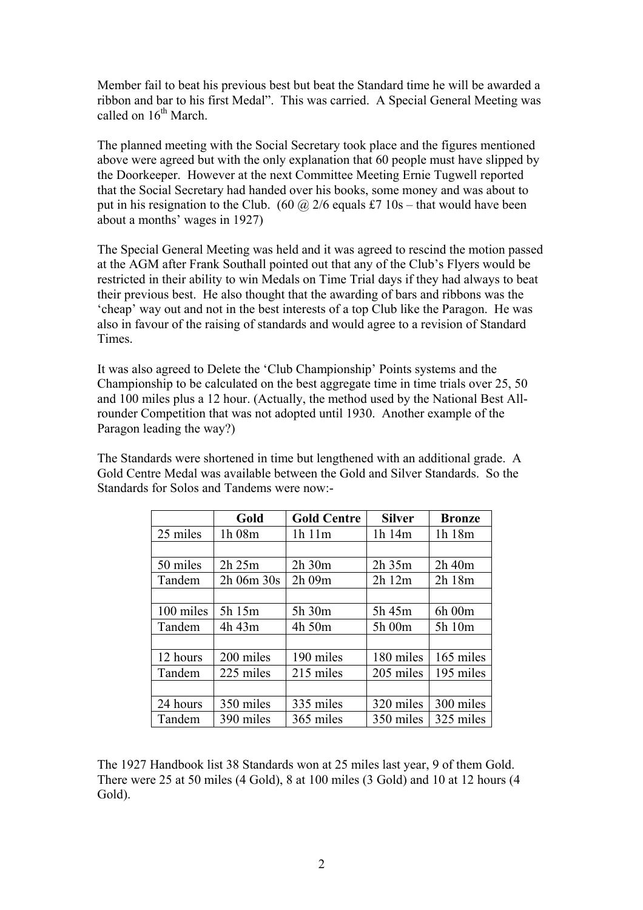Member fail to beat his previous best but beat the Standard time he will be awarded a ribbon and bar to his first Medal". This was carried. A Special General Meeting was called on  $16^{th}$  March.

The planned meeting with the Social Secretary took place and the figures mentioned above were agreed but with the only explanation that 60 people must have slipped by the Doorkeeper. However at the next Committee Meeting Ernie Tugwell reported that the Social Secretary had handed over his books, some money and was about to put in his resignation to the Club. (60  $\omega$  2/6 equals £7 10s – that would have been about a months' wages in 1927)

The Special General Meeting was held and it was agreed to rescind the motion passed at the AGM after Frank Southall pointed out that any of the Club's Flyers would be restricted in their ability to win Medals on Time Trial days if they had always to beat their previous best. He also thought that the awarding of bars and ribbons was the 'cheap' way out and not in the best interests of a top Club like the Paragon. He was also in favour of the raising of standards and would agree to a revision of Standard **Times** 

It was also agreed to Delete the 'Club Championship' Points systems and the Championship to be calculated on the best aggregate time in time trials over 25, 50 and 100 miles plus a 12 hour. (Actually, the method used by the National Best Allrounder Competition that was not adopted until 1930. Another example of the Paragon leading the way?)

The Standards were shortened in time but lengthened with an additional grade. A Gold Centre Medal was available between the Gold and Silver Standards. So the Standards for Solos and Tandems were now:-

|           | Gold           | <b>Gold Centre</b> | <b>Silver</b> | <b>Bronze</b> |
|-----------|----------------|--------------------|---------------|---------------|
| 25 miles  | 1h 08m         | 1h 11m             | 1h 14m        | 1h 18m        |
|           |                |                    |               |               |
| 50 miles  | 2h 25m         | $2h$ 30 $m$        | $2h$ 35 $m$   | $2h$ 40 $m$   |
| Tandem    | $2h$ 06m $30s$ | 2h 09m             | 2h12m         | 2h 18m        |
|           |                |                    |               |               |
| 100 miles | 5h 15m         | 5h 30m             | 5h 45m        | 6h 00m        |
| Tandem    | 4h 43m         | 4h 50m             | 5h 00m        | 5h 10m        |
|           |                |                    |               |               |
| 12 hours  | 200 miles      | 190 miles          | 180 miles     | 165 miles     |
| Tandem    | 225 miles      | 215 miles          | 205 miles     | 195 miles     |
|           |                |                    |               |               |
| 24 hours  | 350 miles      | 335 miles          | 320 miles     | 300 miles     |
| Tandem    | 390 miles      | 365 miles          | 350 miles     | 325 miles     |

The 1927 Handbook list 38 Standards won at 25 miles last year, 9 of them Gold. There were 25 at 50 miles (4 Gold), 8 at 100 miles (3 Gold) and 10 at 12 hours (4 Gold).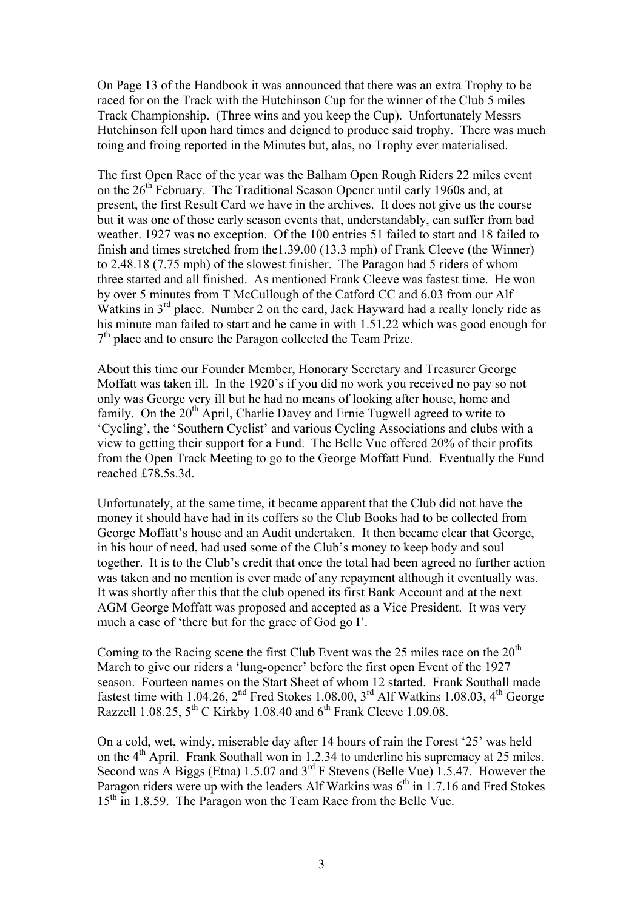On Page 13 of the Handbook it was announced that there was an extra Trophy to be raced for on the Track with the Hutchinson Cup for the winner of the Club 5 miles Track Championship. (Three wins and you keep the Cup). Unfortunately Messrs Hutchinson fell upon hard times and deigned to produce said trophy. There was much toing and froing reported in the Minutes but, alas, no Trophy ever materialised.

The first Open Race of the year was the Balham Open Rough Riders 22 miles event on the  $26<sup>th</sup>$  February. The Traditional Season Opener until early 1960s and, at present, the first Result Card we have in the archives. It does not give us the course but it was one of those early season events that, understandably, can suffer from bad weather. 1927 was no exception. Of the 100 entries 51 failed to start and 18 failed to finish and times stretched from the1.39.00 (13.3 mph) of Frank Cleeve (the Winner) to 2.48.18 (7.75 mph) of the slowest finisher. The Paragon had 5 riders of whom three started and all finished. As mentioned Frank Cleeve was fastest time. He won by over 5 minutes from T McCullough of the Catford CC and 6.03 from our Alf Watkins in 3<sup>rd</sup> place. Number 2 on the card, Jack Hayward had a really lonely ride as his minute man failed to start and he came in with 1.51.22 which was good enough for  $7<sup>th</sup>$  place and to ensure the Paragon collected the Team Prize.

About this time our Founder Member, Honorary Secretary and Treasurer George Moffatt was taken ill. In the 1920's if you did no work you received no pay so not only was George very ill but he had no means of looking after house, home and family. On the 20<sup>th</sup> April, Charlie Davey and Ernie Tugwell agreed to write to 'Cycling', the 'Southern Cyclist' and various Cycling Associations and clubs with a view to getting their support for a Fund. The Belle Vue offered 20% of their profits from the Open Track Meeting to go to the George Moffatt Fund. Eventually the Fund reached £78.5s.3d.

Unfortunately, at the same time, it became apparent that the Club did not have the money it should have had in its coffers so the Club Books had to be collected from George Moffatt's house and an Audit undertaken. It then became clear that George, in his hour of need, had used some of the Club's money to keep body and soul together. It is to the Club's credit that once the total had been agreed no further action was taken and no mention is ever made of any repayment although it eventually was. It was shortly after this that the club opened its first Bank Account and at the next AGM George Moffatt was proposed and accepted as a Vice President. It was very much a case of 'there but for the grace of God go I'.

Coming to the Racing scene the first Club Event was the 25 miles race on the  $20<sup>th</sup>$ March to give our riders a 'lung-opener' before the first open Event of the 1927 season. Fourteen names on the Start Sheet of whom 12 started. Frank Southall made fastest time with 1.04.26,  $2<sup>nd</sup>$  Fred Stokes 1.08.00,  $3<sup>rd</sup>$  Alf Watkins 1.08.03,  $4<sup>th</sup>$  George Razzell  $1.08.25$ ,  $5^{th}$  C Kirkby 1.08.40 and  $6^{th}$  Frank Cleeve 1.09.08.

On a cold, wet, windy, miserable day after 14 hours of rain the Forest '25' was held on the 4<sup>th</sup> April. Frank Southall won in 1.2.34 to underline his supremacy at 25 miles. Second was A Biggs (Etna) 1.5.07 and 3<sup>rd</sup> F Stevens (Belle Vue) 1.5.47. However the Paragon riders were up with the leaders Alf Watkins was  $6<sup>th</sup>$  in 1.7.16 and Fred Stokes 15<sup>th</sup> in 1.8.59. The Paragon won the Team Race from the Belle Vue.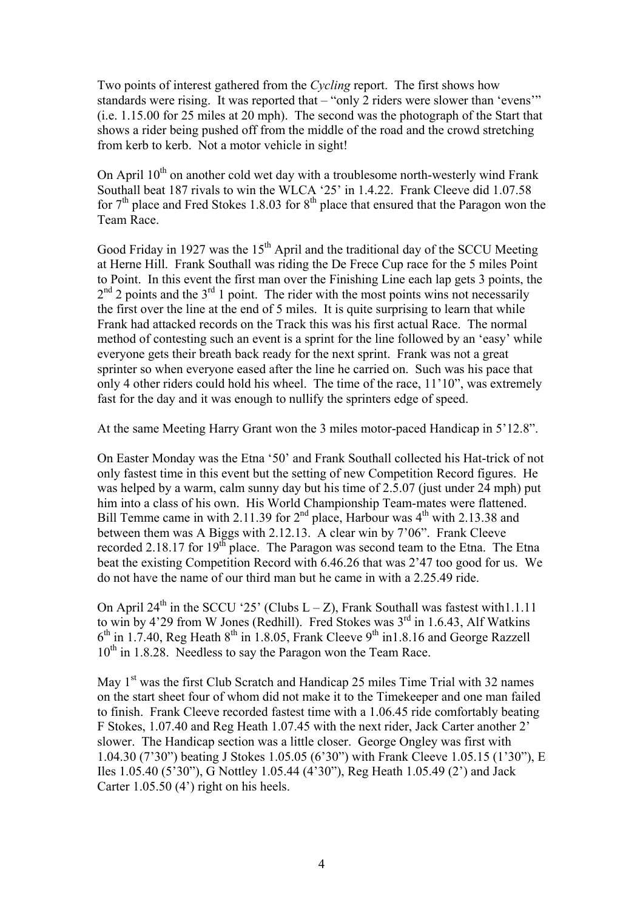Two points of interest gathered from the *Cycling* report. The first shows how standards were rising. It was reported that – "only 2 riders were slower than 'evens'" (i.e. 1.15.00 for 25 miles at 20 mph). The second was the photograph of the Start that shows a rider being pushed off from the middle of the road and the crowd stretching from kerb to kerb. Not a motor vehicle in sight!

On April  $10^{th}$  on another cold wet day with a troublesome north-westerly wind Frank Southall beat 187 rivals to win the WLCA '25' in 1.4.22. Frank Cleeve did 1.07.58 for  $7<sup>th</sup>$  place and Fred Stokes 1.8.03 for  $8<sup>th</sup>$  place that ensured that the Paragon won the Team Race.

Good Friday in 1927 was the  $15<sup>th</sup>$  April and the traditional day of the SCCU Meeting at Herne Hill. Frank Southall was riding the De Frece Cup race for the 5 miles Point to Point. In this event the first man over the Finishing Line each lap gets 3 points, the  $2<sup>nd</sup>$  2 points and the  $3<sup>rd</sup>$  1 point. The rider with the most points wins not necessarily the first over the line at the end of 5 miles. It is quite surprising to learn that while Frank had attacked records on the Track this was his first actual Race. The normal method of contesting such an event is a sprint for the line followed by an 'easy' while everyone gets their breath back ready for the next sprint. Frank was not a great sprinter so when everyone eased after the line he carried on. Such was his pace that only 4 other riders could hold his wheel. The time of the race, 11'10", was extremely fast for the day and it was enough to nullify the sprinters edge of speed.

At the same Meeting Harry Grant won the 3 miles motor-paced Handicap in 5'12.8".

On Easter Monday was the Etna '50' and Frank Southall collected his Hat-trick of not only fastest time in this event but the setting of new Competition Record figures. He was helped by a warm, calm sunny day but his time of 2.5.07 (just under 24 mph) put him into a class of his own. His World Championship Team-mates were flattened. Bill Temme came in with 2.11.39 for  $2<sup>nd</sup>$  place, Harbour was  $4<sup>th</sup>$  with 2.13.38 and between them was A Biggs with 2.12.13. A clear win by 7'06". Frank Cleeve recorded 2.18.17 for 19<sup>th</sup> place. The Paragon was second team to the Etna. The Etna beat the existing Competition Record with 6.46.26 that was 2'47 too good for us. We do not have the name of our third man but he came in with a 2.25.49 ride.

On April 24<sup>th</sup> in the SCCU '25' (Clubs  $L - Z$ ), Frank Southall was fastest with1.1.11 to win by 4'29 from W Jones (Redhill). Fred Stokes was  $3^{rd}$  in 1.6.43, Alf Watkins  $6<sup>th</sup>$  in 1.7.40, Reg Heath  $8<sup>th</sup>$  in 1.8.05, Frank Cleeve  $9<sup>th</sup>$  in 1.8.16 and George Razzell  $10^{th}$  in 1.8.28. Needless to say the Paragon won the Team Race.

May 1<sup>st</sup> was the first Club Scratch and Handicap 25 miles Time Trial with 32 names on the start sheet four of whom did not make it to the Timekeeper and one man failed to finish. Frank Cleeve recorded fastest time with a 1.06.45 ride comfortably beating F Stokes, 1.07.40 and Reg Heath 1.07.45 with the next rider, Jack Carter another 2' slower. The Handicap section was a little closer. George Ongley was first with 1.04.30 (7'30") beating J Stokes 1.05.05 (6'30") with Frank Cleeve 1.05.15 (1'30"), E Iles 1.05.40 (5'30"), G Nottley 1.05.44 (4'30"), Reg Heath 1.05.49 (2') and Jack Carter 1.05.50 (4') right on his heels.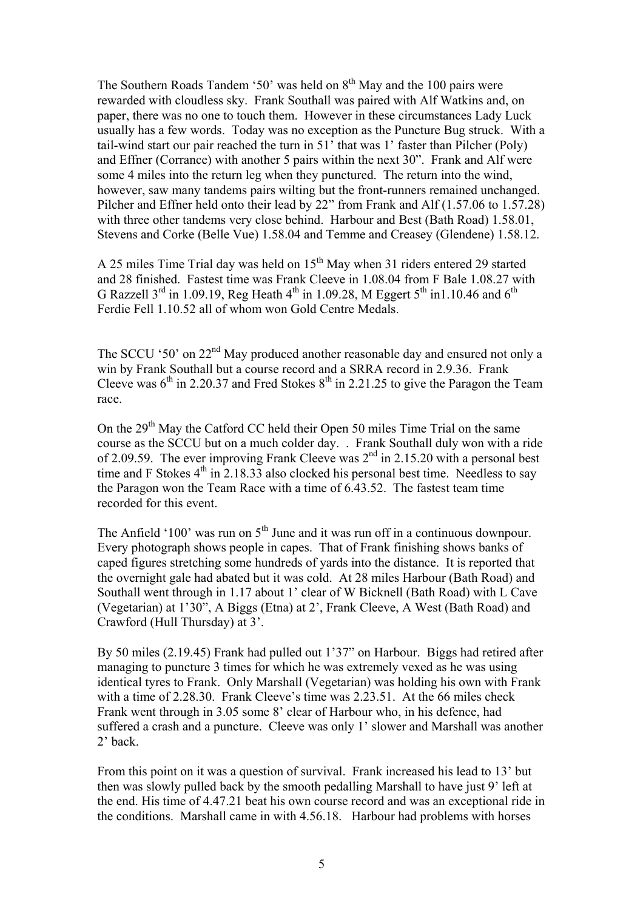The Southern Roads Tandem '50' was held on  $8<sup>th</sup>$  May and the 100 pairs were rewarded with cloudless sky. Frank Southall was paired with Alf Watkins and, on paper, there was no one to touch them. However in these circumstances Lady Luck usually has a few words. Today was no exception as the Puncture Bug struck. With a tail-wind start our pair reached the turn in 51' that was 1' faster than Pilcher (Poly) and Effner (Corrance) with another 5 pairs within the next 30". Frank and Alf were some 4 miles into the return leg when they punctured. The return into the wind, however, saw many tandems pairs wilting but the front-runners remained unchanged. Pilcher and Effner held onto their lead by 22" from Frank and Alf (1.57.06 to 1.57.28) with three other tandems very close behind. Harbour and Best (Bath Road) 1.58.01, Stevens and Corke (Belle Vue) 1.58.04 and Temme and Creasey (Glendene) 1.58.12.

A 25 miles Time Trial day was held on 15<sup>th</sup> May when 31 riders entered 29 started and 28 finished. Fastest time was Frank Cleeve in 1.08.04 from F Bale 1.08.27 with G Razzell  $3^{\text{rd}}$  in 1.09.19, Reg Heath  $4^{\text{th}}$  in 1.09.28, M Eggert  $5^{\text{th}}$  in1.10.46 and  $6^{\text{th}}$ Ferdie Fell 1.10.52 all of whom won Gold Centre Medals.

The SCCU '50' on 22<sup>nd</sup> May produced another reasonable day and ensured not only a win by Frank Southall but a course record and a SRRA record in 2.9.36. Frank Cleeve was  $6<sup>th</sup>$  in 2.20.37 and Fred Stokes  $8<sup>th</sup>$  in 2.21.25 to give the Paragon the Team race.

On the 29<sup>th</sup> May the Catford CC held their Open 50 miles Time Trial on the same course as the SCCU but on a much colder day. . Frank Southall duly won with a ride of 2.09.59. The ever improving Frank Cleeve was  $2<sup>nd</sup>$  in 2.15.20 with a personal best time and F Stokes  $4<sup>th</sup>$  in 2.18.33 also clocked his personal best time. Needless to say the Paragon won the Team Race with a time of 6.43.52. The fastest team time recorded for this event.

The Anfield '100' was run on  $5<sup>th</sup>$  June and it was run off in a continuous downpour. Every photograph shows people in capes. That of Frank finishing shows banks of caped figures stretching some hundreds of yards into the distance. It is reported that the overnight gale had abated but it was cold. At 28 miles Harbour (Bath Road) and Southall went through in 1.17 about 1' clear of W Bicknell (Bath Road) with L Cave (Vegetarian) at 1'30", A Biggs (Etna) at 2', Frank Cleeve, A West (Bath Road) and Crawford (Hull Thursday) at 3'.

By 50 miles (2.19.45) Frank had pulled out 1'37" on Harbour. Biggs had retired after managing to puncture 3 times for which he was extremely vexed as he was using identical tyres to Frank. Only Marshall (Vegetarian) was holding his own with Frank with a time of 2.28.30. Frank Cleeve's time was 2.23.51. At the 66 miles check Frank went through in 3.05 some 8' clear of Harbour who, in his defence, had suffered a crash and a puncture. Cleeve was only 1' slower and Marshall was another 2' back.

From this point on it was a question of survival. Frank increased his lead to 13' but then was slowly pulled back by the smooth pedalling Marshall to have just 9' left at the end. His time of 4.47.21 beat his own course record and was an exceptional ride in the conditions. Marshall came in with 4.56.18. Harbour had problems with horses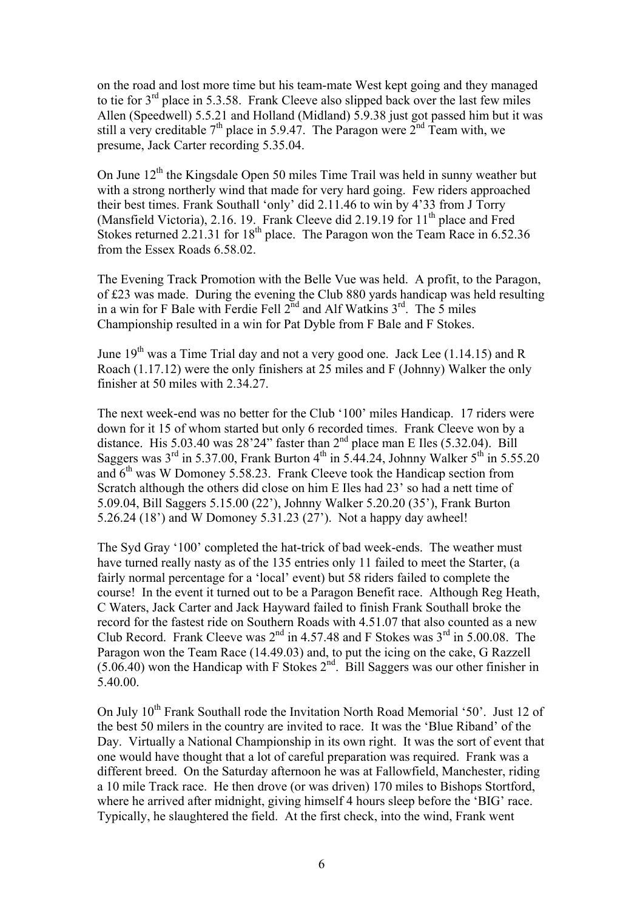on the road and lost more time but his team-mate West kept going and they managed to tie for  $3<sup>rd</sup>$  place in 5.3.58. Frank Cleeve also slipped back over the last few miles Allen (Speedwell) 5.5.21 and Holland (Midland) 5.9.38 just got passed him but it was still a very creditable  $7<sup>th</sup>$  place in 5.9.47. The Paragon were  $2<sup>nd</sup>$  Team with, we presume, Jack Carter recording 5.35.04.

On June  $12<sup>th</sup>$  the Kingsdale Open 50 miles Time Trail was held in sunny weather but with a strong northerly wind that made for very hard going. Few riders approached their best times. Frank Southall 'only' did 2.11.46 to win by 4'33 from J Torry (Mansfield Victoria), 2.16. 19. Frank Cleeve did 2.19.19 for  $11<sup>th</sup>$  place and Fred Stokes returned 2.21.31 for  $18<sup>th</sup>$  place. The Paragon won the Team Race in 6.52.36 from the Essex Roads 6.58.02.

The Evening Track Promotion with the Belle Vue was held. A profit, to the Paragon, of £23 was made. During the evening the Club 880 yards handicap was held resulting in a win for F Bale with Ferdie Fell  $2^{nd}$  and Alf Watkins  $3^{rd}$ . The 5 miles Championship resulted in a win for Pat Dyble from F Bale and F Stokes.

June  $19<sup>th</sup>$  was a Time Trial day and not a very good one. Jack Lee (1.14.15) and R Roach (1.17.12) were the only finishers at 25 miles and F (Johnny) Walker the only finisher at 50 miles with 2.34.27.

The next week-end was no better for the Club '100' miles Handicap. 17 riders were down for it 15 of whom started but only 6 recorded times. Frank Cleeve won by a distance. His  $5.03.40$  was  $28'24''$  faster than  $2<sup>nd</sup>$  place man E Iles (5.32.04). Bill Saggers was  $3^{\text{rd}}$  in 5.37.00. Frank Burton  $4^{\text{th}}$  in 5.44.24, Johnny Walker  $5^{\text{th}}$  in 5.55.20 and  $6<sup>th</sup>$  was W Domoney 5.58.23. Frank Cleeve took the Handicap section from Scratch although the others did close on him E Iles had 23' so had a nett time of 5.09.04, Bill Saggers 5.15.00 (22'), Johnny Walker 5.20.20 (35'), Frank Burton 5.26.24 (18') and W Domoney 5.31.23 (27'). Not a happy day awheel!

The Syd Gray '100' completed the hat-trick of bad week-ends. The weather must have turned really nasty as of the 135 entries only 11 failed to meet the Starter, (a fairly normal percentage for a 'local' event) but 58 riders failed to complete the course! In the event it turned out to be a Paragon Benefit race. Although Reg Heath, C Waters, Jack Carter and Jack Hayward failed to finish Frank Southall broke the record for the fastest ride on Southern Roads with 4.51.07 that also counted as a new Club Record. Frank Cleeve was  $2<sup>nd</sup>$  in 4.57.48 and F Stokes was  $3<sup>rd</sup>$  in 5.00.08. The Paragon won the Team Race (14.49.03) and, to put the icing on the cake, G Razzell  $(5.06.40)$  won the Handicap with F Stokes  $2<sup>nd</sup>$ . Bill Saggers was our other finisher in 5.40.00.

On July 10<sup>th</sup> Frank Southall rode the Invitation North Road Memorial '50'. Just 12 of the best 50 milers in the country are invited to race. It was the 'Blue Riband' of the Day. Virtually a National Championship in its own right. It was the sort of event that one would have thought that a lot of careful preparation was required. Frank was a different breed. On the Saturday afternoon he was at Fallowfield, Manchester, riding a 10 mile Track race. He then drove (or was driven) 170 miles to Bishops Stortford, where he arrived after midnight, giving himself 4 hours sleep before the 'BIG' race. Typically, he slaughtered the field. At the first check, into the wind, Frank went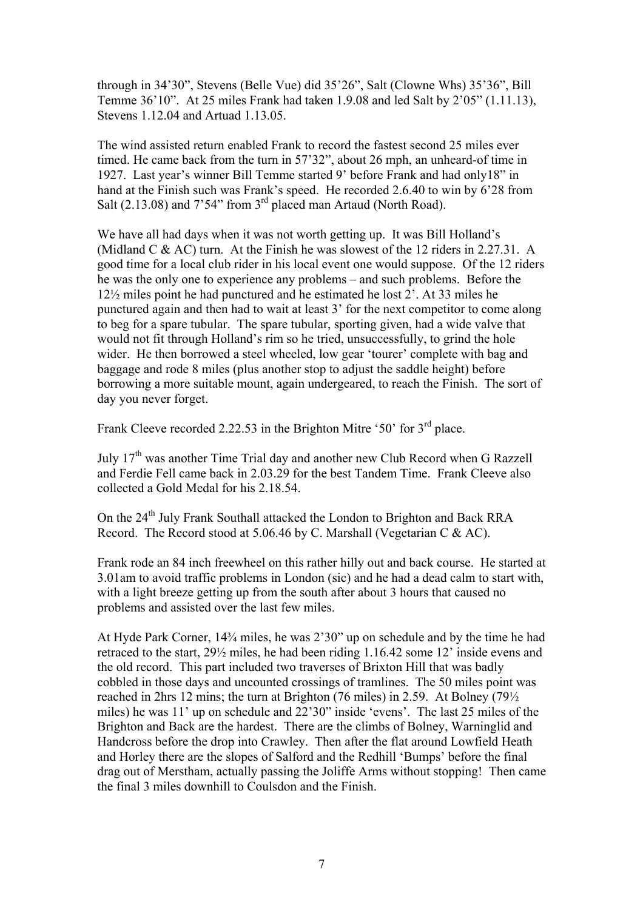through in 34'30", Stevens (Belle Vue) did 35'26", Salt (Clowne Whs) 35'36", Bill Temme 36'10". At 25 miles Frank had taken 1.9.08 and led Salt by 2'05" (1.11.13), Stevens 1.12.04 and Artuad 1.13.05.

The wind assisted return enabled Frank to record the fastest second 25 miles ever timed. He came back from the turn in 57'32", about 26 mph, an unheard-of time in 1927. Last year's winner Bill Temme started 9' before Frank and had only18" in hand at the Finish such was Frank's speed. He recorded 2.6.40 to win by 6'28 from Salt  $(2.13.08)$  and  $7'54''$  from  $3<sup>rd</sup>$  placed man Artaud (North Road).

We have all had days when it was not worth getting up. It was Bill Holland's (Midland C & AC) turn. At the Finish he was slowest of the 12 riders in 2.27.31. A good time for a local club rider in his local event one would suppose. Of the 12 riders he was the only one to experience any problems – and such problems. Before the 12½ miles point he had punctured and he estimated he lost 2'. At 33 miles he punctured again and then had to wait at least 3' for the next competitor to come along to beg for a spare tubular. The spare tubular, sporting given, had a wide valve that would not fit through Holland's rim so he tried, unsuccessfully, to grind the hole wider. He then borrowed a steel wheeled, low gear 'tourer' complete with bag and baggage and rode 8 miles (plus another stop to adjust the saddle height) before borrowing a more suitable mount, again undergeared, to reach the Finish. The sort of day you never forget.

Frank Cleeve recorded 2.22.53 in the Brighton Mitre '50' for 3<sup>rd</sup> place.

July  $17<sup>th</sup>$  was another Time Trial day and another new Club Record when G Razzell and Ferdie Fell came back in 2.03.29 for the best Tandem Time. Frank Cleeve also collected a Gold Medal for his 2.18.54.

On the 24<sup>th</sup> July Frank Southall attacked the London to Brighton and Back RRA Record. The Record stood at 5.06.46 by C. Marshall (Vegetarian C & AC).

Frank rode an 84 inch freewheel on this rather hilly out and back course. He started at 3.01am to avoid traffic problems in London (sic) and he had a dead calm to start with, with a light breeze getting up from the south after about 3 hours that caused no problems and assisted over the last few miles.

At Hyde Park Corner, 14¾ miles, he was 2'30" up on schedule and by the time he had retraced to the start, 29½ miles, he had been riding 1.16.42 some 12' inside evens and the old record. This part included two traverses of Brixton Hill that was badly cobbled in those days and uncounted crossings of tramlines. The 50 miles point was reached in 2hrs 12 mins; the turn at Brighton (76 miles) in 2.59. At Bolney (79½ miles) he was 11' up on schedule and 22'30" inside 'evens'. The last 25 miles of the Brighton and Back are the hardest. There are the climbs of Bolney, Warninglid and Handcross before the drop into Crawley. Then after the flat around Lowfield Heath and Horley there are the slopes of Salford and the Redhill 'Bumps' before the final drag out of Merstham, actually passing the Joliffe Arms without stopping! Then came the final 3 miles downhill to Coulsdon and the Finish.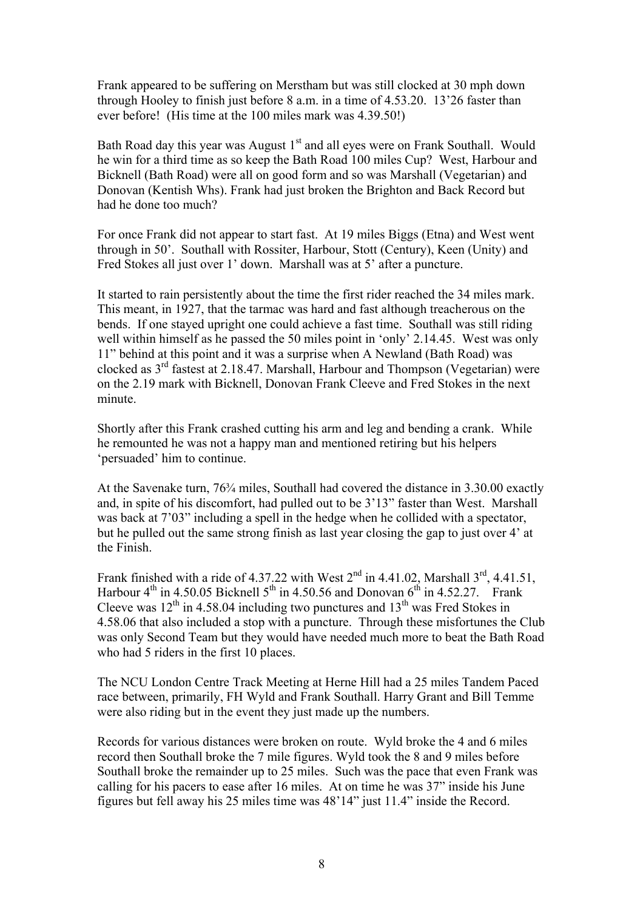Frank appeared to be suffering on Merstham but was still clocked at 30 mph down through Hooley to finish just before 8 a.m. in a time of 4.53.20. 13'26 faster than ever before! (His time at the 100 miles mark was 4.39.50!)

Bath Road day this year was August  $1<sup>st</sup>$  and all eyes were on Frank Southall. Would he win for a third time as so keep the Bath Road 100 miles Cup? West, Harbour and Bicknell (Bath Road) were all on good form and so was Marshall (Vegetarian) and Donovan (Kentish Whs). Frank had just broken the Brighton and Back Record but had he done too much?

For once Frank did not appear to start fast. At 19 miles Biggs (Etna) and West went through in 50'. Southall with Rossiter, Harbour, Stott (Century), Keen (Unity) and Fred Stokes all just over 1' down. Marshall was at 5' after a puncture.

It started to rain persistently about the time the first rider reached the 34 miles mark. This meant, in 1927, that the tarmac was hard and fast although treacherous on the bends. If one stayed upright one could achieve a fast time. Southall was still riding well within himself as he passed the 50 miles point in 'only' 2.14.45. West was only 11" behind at this point and it was a surprise when A Newland (Bath Road) was clocked as  $3<sup>rd</sup>$  fastest at 2.18.47. Marshall, Harbour and Thompson (Vegetarian) were on the 2.19 mark with Bicknell, Donovan Frank Cleeve and Fred Stokes in the next minute.

Shortly after this Frank crashed cutting his arm and leg and bending a crank. While he remounted he was not a happy man and mentioned retiring but his helpers 'persuaded' him to continue.

At the Savenake turn,  $76\frac{3}{4}$  miles, Southall had covered the distance in 3.30.00 exactly and, in spite of his discomfort, had pulled out to be 3'13" faster than West. Marshall was back at 7'03" including a spell in the hedge when he collided with a spectator, but he pulled out the same strong finish as last year closing the gap to just over 4' at the Finish.

Frank finished with a ride of 4.37.22 with West  $2<sup>nd</sup>$  in 4.41.02, Marshall  $3<sup>rd</sup>$ , 4.41.51, Harbour  $4<sup>th</sup>$  in 4.50.05 Bicknell  $5<sup>th</sup>$  in 4.50.56 and Donovan  $6<sup>th</sup>$  in 4.52.27. Frank Cleeve was  $12^{th}$  in 4.58.04 including two punctures and  $13^{th}$  was Fred Stokes in 4.58.06 that also included a stop with a puncture. Through these misfortunes the Club was only Second Team but they would have needed much more to beat the Bath Road who had 5 riders in the first 10 places.

The NCU London Centre Track Meeting at Herne Hill had a 25 miles Tandem Paced race between, primarily, FH Wyld and Frank Southall. Harry Grant and Bill Temme were also riding but in the event they just made up the numbers.

Records for various distances were broken on route. Wyld broke the 4 and 6 miles record then Southall broke the 7 mile figures. Wyld took the 8 and 9 miles before Southall broke the remainder up to 25 miles. Such was the pace that even Frank was calling for his pacers to ease after 16 miles. At on time he was 37" inside his June figures but fell away his 25 miles time was 48'14" just 11.4" inside the Record.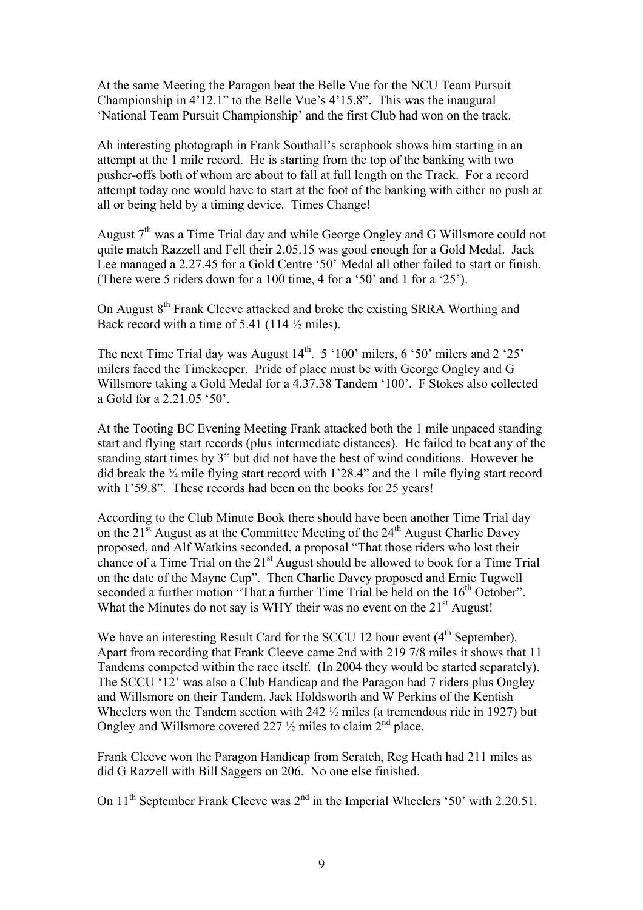At the same Meeting the Paragon beat the Belle Vue for the NCU Team Pursuit Championship in 4'12.1" to the Belle Vue's 4'15.8". This was the inaugural 'National Team Pursuit Championship' and the first Club had won on the track.

Ah interesting photograph in Frank Southall's scrapbook shows him starting in an attempt at the 1 mile record. He is starting from the top of the banking with two pusher-offs both of whom are about to fall at full length on the Track. For a record attempt today one would have to start at the foot of the banking with either no push at all or being held by a timing device. Times Change!

August  $7<sup>th</sup>$  was a Time Trial day and while George Ongley and G Willsmore could not quite match Razzell and Fell their 2.05.15 was good enough for a Gold Medal. Jack Lee managed a 2.27.45 for a Gold Centre '50' Medal all other failed to start or finish. (There were 5 riders down for a 100 time, 4 for a '50' and 1 for a '25').

On August 8<sup>th</sup> Frank Cleeve attacked and broke the existing SRRA Worthing and Back record with a time of 5.41 (114  $\frac{1}{2}$  miles).

The next Time Trial day was August  $14<sup>th</sup>$ . 5 '100' milers, 6 '50' milers and 2 '25' milers faced the Timekeeper. Pride of place must be with George Ongley and G Willsmore taking a Gold Medal for a 4.37.38 Tandem '100'. F Stokes also collected a Gold for a 2.21.05 '50'.

At the Tooting BC Evening Meeting Frank attacked both the 1 mile unpaced standing start and flying start records (plus intermediate distances). He failed to beat any of the standing start times by 3" but did not have the best of wind conditions. However he did break the ¾ mile flying start record with 1'28.4" and the 1 mile flying start record with 1'59.8". These records had been on the books for 25 years!

According to the Club Minute Book there should have been another Time Trial day on the  $21^{\overline{st}}$  August as at the Committee Meeting of the  $24^{th}$  August Charlie Davey proposed, and Alf Watkins seconded, a proposal "That those riders who lost their chance of a Time Trial on the 21<sup>st</sup> August should be allowed to book for a Time Trial on the date of the Mayne Cup". Then Charlie Davey proposed and Ernie Tugwell seconded a further motion "That a further Time Trial be held on the 16<sup>th</sup> October". What the Minutes do not say is WHY their was no event on the 21<sup>st</sup> August!

We have an interesting Result Card for the SCCU 12 hour event (4<sup>th</sup> September). Apart from recording that Frank Cleeve came 2nd with 219 7/8 miles it shows that 11 Tandems competed within the race itself. (In 2004 they would be started separately). The SCCU '12' was also a Club Handicap and the Paragon had 7 riders plus Ongley and Willsmore on their Tandem. Jack Holdsworth and W Perkins of the Kentish Wheelers won the Tandem section with 242 ½ miles (a tremendous ride in 1927) but Ongley and Willsmore covered 227  $\frac{1}{2}$  miles to claim  $2^{nd}$  place.

Frank Cleeve won the Paragon Handicap from Scratch, Reg Heath had 211 miles as did G Razzell with Bill Saggers on 206. No one else finished.

On 11<sup>th</sup> September Frank Cleeve was 2<sup>nd</sup> in the Imperial Wheelers '50' with 2.20.51.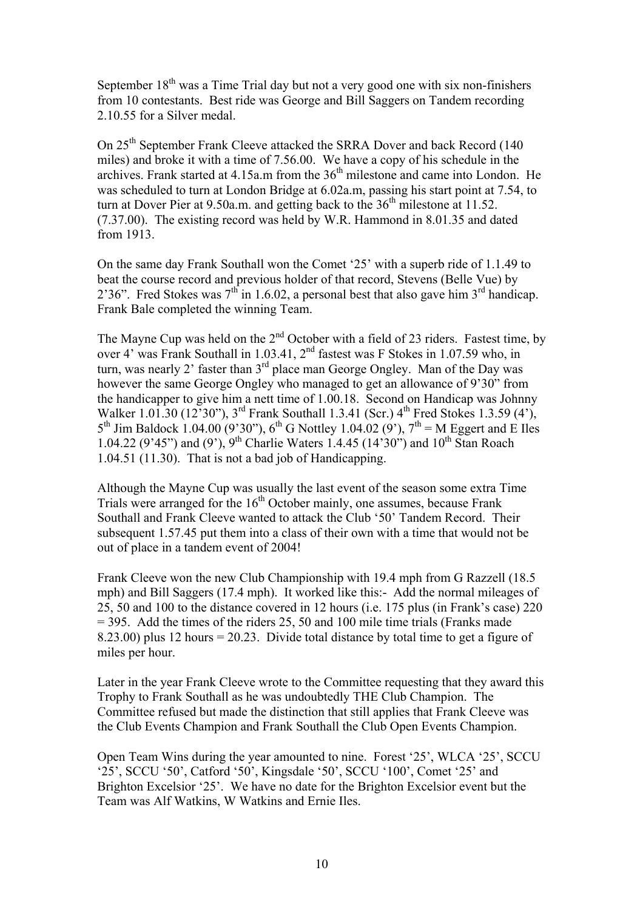September  $18<sup>th</sup>$  was a Time Trial day but not a very good one with six non-finishers from 10 contestants. Best ride was George and Bill Saggers on Tandem recording 2.10.55 for a Silver medal.

On 25<sup>th</sup> September Frank Cleeve attacked the SRRA Dover and back Record (140) miles) and broke it with a time of 7.56.00. We have a copy of his schedule in the archives. Frank started at  $4.15a$ .m from the  $36<sup>th</sup>$  milestone and came into London. He was scheduled to turn at London Bridge at 6.02a.m, passing his start point at 7.54, to turn at Dover Pier at  $9.50a$ .m. and getting back to the  $36<sup>th</sup>$  milestone at 11.52. (7.37.00). The existing record was held by W.R. Hammond in 8.01.35 and dated from 1913.

On the same day Frank Southall won the Comet '25' with a superb ride of 1.1.49 to beat the course record and previous holder of that record, Stevens (Belle Vue) by 2'36". Fred Stokes was  $7<sup>th</sup>$  in 1.6.02, a personal best that also gave him  $3<sup>rd</sup>$  handicap. Frank Bale completed the winning Team.

The Mayne Cup was held on the 2<sup>nd</sup> October with a field of 23 riders. Fastest time, by over 4' was Frank Southall in 1.03.41, 2<sup>nd</sup> fastest was F Stokes in 1.07.59 who, in turn, was nearly 2' faster than 3<sup>rd</sup> place man George Ongley. Man of the Day was however the same George Ongley who managed to get an allowance of 9'30" from the handicapper to give him a nett time of 1.00.18. Second on Handicap was Johnny Walker 1.01.30 (12'30"),  $3^{rd}$  Frank Southall 1.3.41 (Scr.)  $4^{th}$  Fred Stokes 1.3.59 (4'),  $5^{th}$  Jim Baldock 1.04.00 (9'30"), 6<sup>th</sup> G Nottley 1.04.02 (9'), 7<sup>th</sup> = M Eggert and E Iles 1.04.22 (9'45") and (9'), 9<sup>th</sup> Charlie Waters 1.4.45 (14'30") and 10<sup>th</sup> Stan Roach 1.04.51 (11.30). That is not a bad job of Handicapping.

Although the Mayne Cup was usually the last event of the season some extra Time Trials were arranged for the  $16<sup>th</sup>$  October mainly, one assumes, because Frank Southall and Frank Cleeve wanted to attack the Club '50' Tandem Record. Their subsequent 1.57.45 put them into a class of their own with a time that would not be out of place in a tandem event of 2004!

Frank Cleeve won the new Club Championship with 19.4 mph from G Razzell (18.5 mph) and Bill Saggers (17.4 mph). It worked like this:- Add the normal mileages of 25, 50 and 100 to the distance covered in 12 hours (i.e. 175 plus (in Frank's case) 220  $=$  395. Add the times of the riders 25, 50 and 100 mile time trials (Franks made 8.23.00) plus 12 hours = 20.23. Divide total distance by total time to get a figure of miles per hour.

Later in the year Frank Cleeve wrote to the Committee requesting that they award this Trophy to Frank Southall as he was undoubtedly THE Club Champion. The Committee refused but made the distinction that still applies that Frank Cleeve was the Club Events Champion and Frank Southall the Club Open Events Champion.

Open Team Wins during the year amounted to nine. Forest '25', WLCA '25', SCCU '25', SCCU '50', Catford '50', Kingsdale '50', SCCU '100', Comet '25' and Brighton Excelsior '25'. We have no date for the Brighton Excelsior event but the Team was Alf Watkins, W Watkins and Ernie Iles.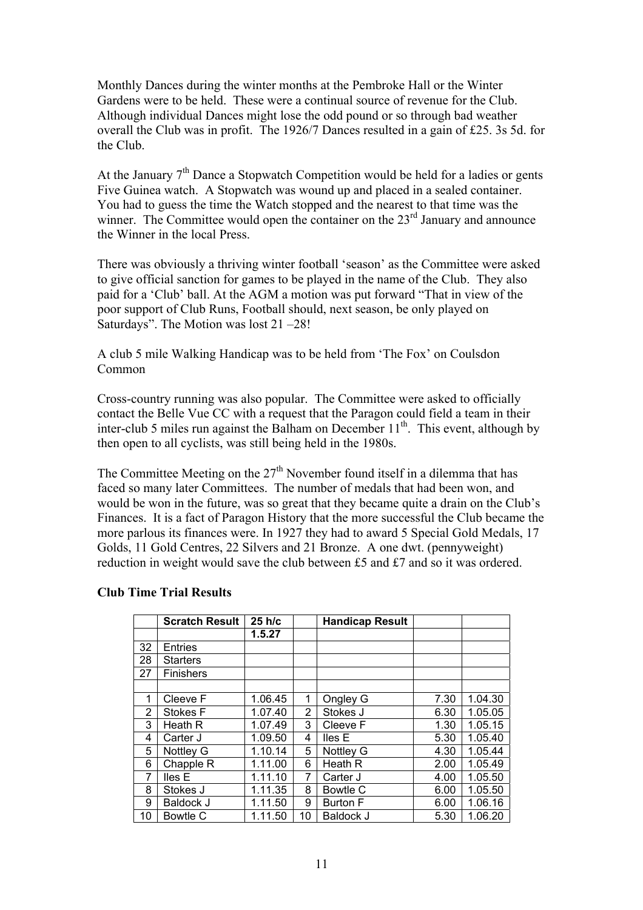Monthly Dances during the winter months at the Pembroke Hall or the Winter Gardens were to be held. These were a continual source of revenue for the Club. Although individual Dances might lose the odd pound or so through bad weather overall the Club was in profit. The 1926/7 Dances resulted in a gain of £25. 3s 5d. for the Club.

At the January  $7<sup>th</sup>$  Dance a Stopwatch Competition would be held for a ladies or gents Five Guinea watch. A Stopwatch was wound up and placed in a sealed container. You had to guess the time the Watch stopped and the nearest to that time was the winner. The Committee would open the container on the  $23<sup>rd</sup>$  January and announce the Winner in the local Press.

There was obviously a thriving winter football 'season' as the Committee were asked to give official sanction for games to be played in the name of the Club. They also paid for a 'Club' ball. At the AGM a motion was put forward "That in view of the poor support of Club Runs, Football should, next season, be only played on Saturdays". The Motion was lost 21 –28!

A club 5 mile Walking Handicap was to be held from 'The Fox' on Coulsdon Common

Cross-country running was also popular. The Committee were asked to officially contact the Belle Vue CC with a request that the Paragon could field a team in their inter-club 5 miles run against the Balham on December  $11<sup>th</sup>$ . This event, although by then open to all cyclists, was still being held in the 1980s.

The Committee Meeting on the  $27<sup>th</sup>$  November found itself in a dilemma that has faced so many later Committees. The number of medals that had been won, and would be won in the future, was so great that they became quite a drain on the Club's Finances. It is a fact of Paragon History that the more successful the Club became the more parlous its finances were. In 1927 they had to award 5 Special Gold Medals, 17 Golds, 11 Gold Centres, 22 Silvers and 21 Bronze. A one dwt. (pennyweight) reduction in weight would save the club between £5 and £7 and so it was ordered.

|                | <b>Scratch Result</b> | 25 h/c  |    | <b>Handicap Result</b> |      |         |
|----------------|-----------------------|---------|----|------------------------|------|---------|
|                |                       | 1.5.27  |    |                        |      |         |
| 32             | <b>Entries</b>        |         |    |                        |      |         |
| 28             | <b>Starters</b>       |         |    |                        |      |         |
| 27             | <b>Finishers</b>      |         |    |                        |      |         |
|                |                       |         |    |                        |      |         |
| 1              | Cleeve F              | 1.06.45 | 1  | Ongley G               | 7.30 | 1.04.30 |
| $\overline{2}$ | <b>Stokes F</b>       | 1.07.40 | 2  | Stokes J               | 6.30 | 1.05.05 |
| 3              | Heath R               | 1.07.49 | 3  | Cleeve F               | 1.30 | 1.05.15 |
| 4              | Carter J              | 1.09.50 | 4  | lles E                 | 5.30 | 1.05.40 |
| 5              | Nottley G             | 1.10.14 | 5  | Nottley G              | 4.30 | 1.05.44 |
| 6              | Chapple R             | 1.11.00 | 6  | Heath R                | 2.00 | 1.05.49 |
| 7              | lles E                | 1.11.10 | 7  | Carter J               | 4.00 | 1.05.50 |
| 8              | Stokes J              | 1.11.35 | 8  | Bowtle C               | 6.00 | 1.05.50 |
| 9              | Baldock J             | 1.11.50 | 9  | <b>Burton F</b>        | 6.00 | 1.06.16 |
| 10             | Bowtle C              | 1.11.50 | 10 | <b>Baldock J</b>       | 5.30 | 1.06.20 |

## **Club Time Trial Results**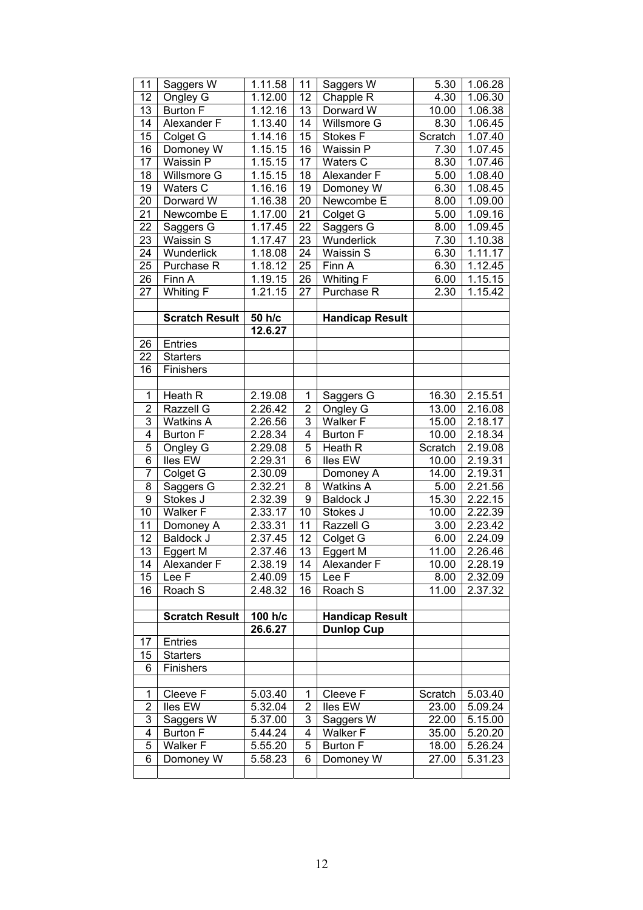| 11             | Saggers W              | 1.11.58             | 11                      | Saggers W              | 5.30    | 1.06.28 |
|----------------|------------------------|---------------------|-------------------------|------------------------|---------|---------|
| 12             | Ongley G               | 1.12.00             | 12                      | Chapple R              | 4.30    | 1.06.30 |
| 13             | Burton F               | 1.12.16             | 13                      | Dorward W              | 10.00   | 1.06.38 |
| 14             | Alexander F            | 1.13.40             | 14                      | Willsmore G            | 8.30    | 1.06.45 |
| 15             | Colget G               | 1.14.16             | 15                      | Stokes F               | Scratch | 1.07.40 |
| 16             | Domoney W              | 1.15.15             | 16                      | Waissin P              | 7.30    | 1.07.45 |
| 17             | Waissin P              | 1.15.15             | 17                      | Waters C               | 8.30    | 1.07.46 |
| 18             | Willsmore G            | 1.15.15             | 18                      | Alexander F            | 5.00    | 1.08.40 |
| 19             | Waters C               | 1.16.16             | 19                      | Domoney W              | 6.30    | 1.08.45 |
| 20             | Dorward W              | 1.16.38             | 20                      | Newcombe E             | 8.00    | 1.09.00 |
| 21             | Newcombe E             | 1.17.00             | 21                      | Colget G               | 5.00    | 1.09.16 |
| 22             | Saggers G              | 1.17.45             | 22                      | Saggers G              | 8.00    | 1.09.45 |
| 23             | Waissin S              | 1.17.47             | 23                      | Wunderlick             | 7.30    | 1.10.38 |
| 24             | Wunderlick             | 1.18.08             | 24                      | Waissin S              | 6.30    | 1.11.17 |
| 25             | Purchase R             | 1.18.12             | 25                      | Finn A                 | 6.30    | 1.12.45 |
| 26             | Finn A                 | 1.19.15             | 26                      | Whiting F              | 6.00    | 1.15.15 |
| 27             | Whiting F              | 1.21.15             | 27                      | Purchase R             | 2.30    | 1.15.42 |
|                |                        |                     |                         |                        |         |         |
|                | <b>Scratch Result</b>  | $\overline{50}$ h/c |                         | <b>Handicap Result</b> |         |         |
|                |                        | 12.6.27             |                         |                        |         |         |
| 26             | <b>Entries</b>         |                     |                         |                        |         |         |
| 22             | <b>Starters</b>        |                     |                         |                        |         |         |
| 16             | Finishers              |                     |                         |                        |         |         |
|                |                        |                     |                         |                        |         |         |
| $\mathbf{1}$   | Heath R                | 2.19.08             | 1                       | Saggers G              | 16.30   | 2.15.51 |
| $\overline{2}$ | Razzell G              | 2.26.42             | $\mathbf{2}$            | Ongley G               | 13.00   | 2.16.08 |
| 3              | <b>Watkins A</b>       | 2.26.56             | 3                       | Walker F               | 15.00   | 2.18.17 |
| $\overline{4}$ | <b>Burton F</b>        | 2.28.34             | 4                       | <b>Burton F</b>        | 10.00   | 2.18.34 |
| 5              | Ongley G               | 2.29.08             | 5                       | Heath R                | Scratch | 2.19.08 |
| $\overline{6}$ | Iles EW                | 2.29.31             | 6                       | lles EW                | 10.00   | 2.19.31 |
| $\overline{7}$ | Colget G               | 2.30.09             |                         | Domoney A              | 14.00   | 2.19.31 |
| 8              | Saggers G              | 2.32.21             | 8                       | <b>Watkins A</b>       | 5.00    | 2.21.56 |
| $\overline{9}$ | Stokes J               | 2.32.39             | 9                       | Baldock J              | 15.30   | 2.22.15 |
| 10             | Walker F               | 2.33.17             | 10                      | Stokes J               | 10.00   | 2.22.39 |
| 11             | Domoney A              | 2.33.31             | 11                      | Razzell G              | 3.00    | 2.23.42 |
| 12             | Baldock J              | 2.37.45             | 12                      | Colget G               | 6.00    | 2.24.09 |
| 13             | Eggert M               | 2.37.46             | 13                      | Eggert M               | 11.00   | 2.26.46 |
| 14             | Alexander <sub>F</sub> | 2.38.19             | 14                      | Alexander <sub>F</sub> | 10.00   | 2.28.19 |
| 15             | Lee F                  | 2.40.09             | 15                      | Lee F                  | 8.00    | 2.32.09 |
| 16             | Roach S                | 2.48.32             | 16                      | Roach S                | 11.00   | 2.37.32 |
|                |                        |                     |                         |                        |         |         |
|                | <b>Scratch Result</b>  | 100 h/c<br>26.6.27  |                         | <b>Handicap Result</b> |         |         |
| 17             | <b>Entries</b>         |                     |                         | <b>Dunlop Cup</b>      |         |         |
| 15             | <b>Starters</b>        |                     |                         |                        |         |         |
| 6              | Finishers              |                     |                         |                        |         |         |
|                |                        |                     |                         |                        |         |         |
| 1              | Cleeve F               | 5.03.40             | 1                       | Cleeve $\overline{F}$  | Scratch | 5.03.40 |
| $\overline{2}$ | lles EW                | 5.32.04             | $\overline{\mathbf{c}}$ | lles EW                | 23.00   | 5.09.24 |
| 3              | Saggers W              | 5.37.00             | 3                       | Saggers W              | 22.00   | 5.15.00 |
| 4              | <b>Burton F</b>        | 5.44.24             | 4                       | Walker F               | 35.00   | 5.20.20 |
| 5              | Walker F               | 5.55.20             | 5                       | <b>Burton F</b>        | 18.00   | 5.26.24 |
| 6              | Domoney W              | 5.58.23             | 6                       | Domoney W              | 27.00   | 5.31.23 |
|                |                        |                     |                         |                        |         |         |